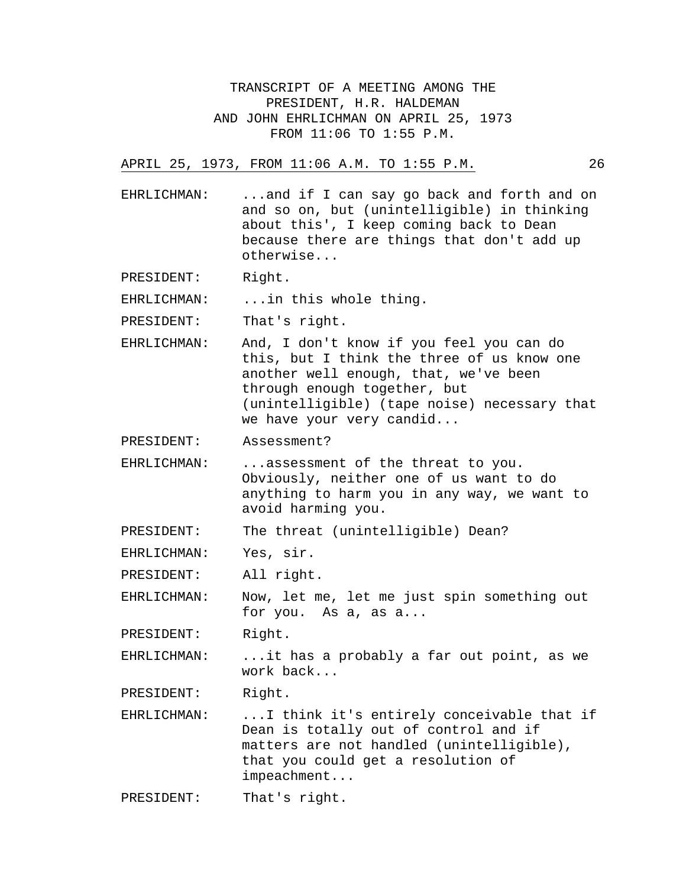TRANSCRIPT OF A MEETING AMONG THE PRESIDENT, H.R. HALDEMAN AND JOHN EHRLICHMAN ON APRIL 25, 1973 FROM 11:06 TO 1:55 P.M.

## APRIL 25, 1973, FROM 11:06 A.M. TO 1:55 P.M. 26

EHRLICHMAN: ...and if I can say go back and forth and on and so on, but (unintelligible) in thinking about this', I keep coming back to Dean because there are things that don't add up otherwise...

PRESIDENT: Right.

EHRLICHMAN: ... in this whole thing.

PRESIDENT: That's right.

EHRLICHMAN: And, I don't know if you feel you can do this, but I think the three of us know one another well enough, that, we've been through enough together, but (unintelligible) (tape noise) necessary that we have your very candid...

PRESIDENT: Assessment?

EHRLICHMAN: ...assessment of the threat to you. Obviously, neither one of us want to do anything to harm you in any way, we want to avoid harming you.

PRESIDENT: The threat (unintelligible) Dean?

EHRLICHMAN: Yes, sir.

PRESIDENT: All right.

EHRLICHMAN: Now, let me, let me just spin something out for you. As a, as a...

PRESIDENT: Right.

EHRLICHMAN: ...it has a probably a far out point, as we work back...

PRESIDENT: Right.

EHRLICHMAN: ...I think it's entirely conceivable that if Dean is totally out of control and if matters are not handled (unintelligible), that you could get a resolution of impeachment...

PRESIDENT: That's right.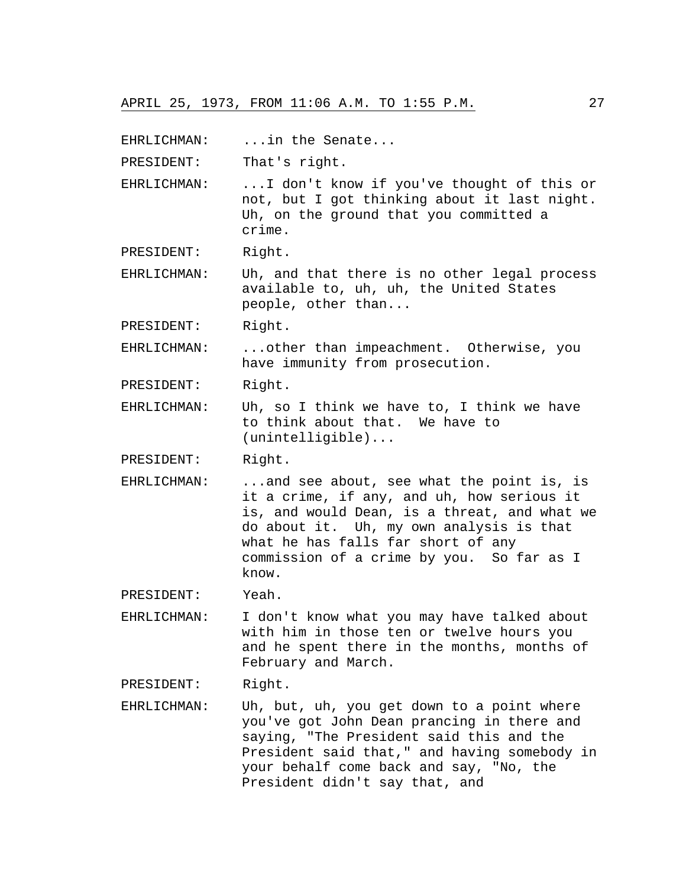EHRLICHMAN: ...in the Senate...

PRESIDENT: That's right.

EHRLICHMAN: ...I don't know if you've thought of this or not, but I got thinking about it last night. Uh, on the ground that you committed a crime.

PRESIDENT: Right.

EHRLICHMAN: Uh, and that there is no other legal process available to, uh, uh, the United States people, other than...

PRESIDENT: Right.

EHRLICHMAN: ...other than impeachment. Otherwise, you have immunity from prosecution.

PRESIDENT: Right.

EHRLICHMAN: Uh, so I think we have to, I think we have to think about that. We have to (unintelligible)...

PRESIDENT: Right.

EHRLICHMAN: ...and see about, see what the point is, is it a crime, if any, and uh, how serious it is, and would Dean, is a threat, and what we do about it. Uh, my own analysis is that what he has falls far short of any commission of a crime by you. So far as I know.

PRESIDENT: Yeah.

EHRLICHMAN: I don't know what you may have talked about with him in those ten or twelve hours you and he spent there in the months, months of February and March.

PRESIDENT: Right.

EHRLICHMAN: Uh, but, uh, you get down to a point where you've got John Dean prancing in there and saying, "The President said this and the President said that," and having somebody in your behalf come back and say, "No, the President didn't say that, and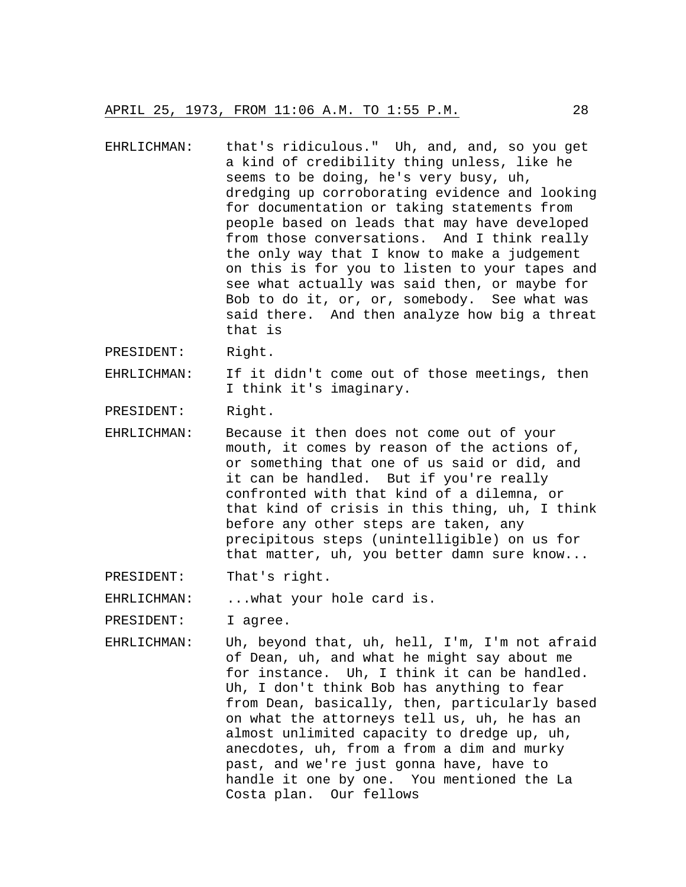EHRLICHMAN: that's ridiculous." Uh, and, and, so you get a kind of credibility thing unless, like he seems to be doing, he's very busy, uh, dredging up corroborating evidence and looking for documentation or taking statements from people based on leads that may have developed from those conversations. And I think really the only way that I know to make a judgement on this is for you to listen to your tapes and see what actually was said then, or maybe for Bob to do it, or, or, somebody. See what was said there. And then analyze how big a threat that is

PRESIDENT: Right.

EHRLICHMAN: If it didn't come out of those meetings, then I think it's imaginary.

PRESIDENT: Right.

EHRLICHMAN: Because it then does not come out of your mouth, it comes by reason of the actions of, or something that one of us said or did, and it can be handled. But if you're really confronted with that kind of a dilemna, or that kind of crisis in this thing, uh, I think before any other steps are taken, any precipitous steps (unintelligible) on us for that matter, uh, you better damn sure know...

PRESIDENT: That's right.

EHRLICHMAN: ...what your hole card is.

PRESIDENT: I agree.

EHRLICHMAN: Uh, beyond that, uh, hell, I'm, I'm not afraid of Dean, uh, and what he might say about me for instance. Uh, I think it can be handled. Uh, I don't think Bob has anything to fear from Dean, basically, then, particularly based on what the attorneys tell us, uh, he has an almost unlimited capacity to dredge up, uh, anecdotes, uh, from a from a dim and murky past, and we're just gonna have, have to handle it one by one. You mentioned the La Costa plan. Our fellows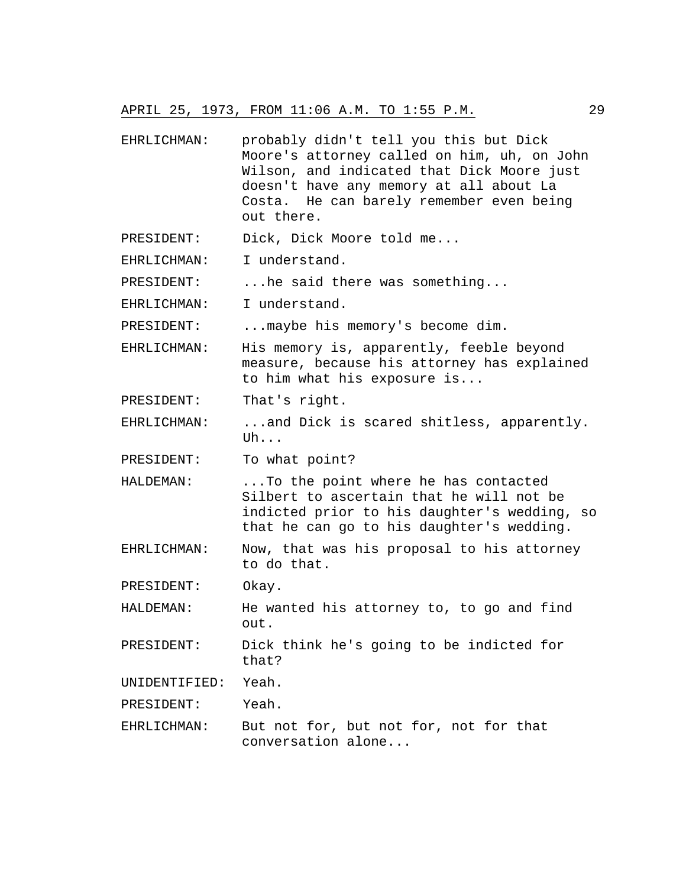## APRIL 25, 1973, FROM 11:06 A.M. TO 1:55 P.M. 29

- EHRLICHMAN: probably didn't tell you this but Dick Moore's attorney called on him, uh, on John Wilson, and indicated that Dick Moore just doesn't have any memory at all about La Costa. He can barely remember even being out there.
- PRESIDENT: Dick, Dick Moore told me...
- EHRLICHMAN: I understand.
- PRESIDENT: ...he said there was something...
- EHRLICHMAN: I understand.

PRESIDENT: ... maybe his memory's become dim.

- EHRLICHMAN: His memory is, apparently, feeble beyond measure, because his attorney has explained to him what his exposure is...
- PRESIDENT: That's right.
- EHRLICHMAN: ...and Dick is scared shitless, apparently. Uh...

PRESIDENT: To what point?

- HALDEMAN: ...To the point where he has contacted Silbert to ascertain that he will not be indicted prior to his daughter's wedding, so that he can go to his daughter's wedding.
- EHRLICHMAN: Now, that was his proposal to his attorney to do that.

PRESIDENT: Okay.

- HALDEMAN: He wanted his attorney to, to go and find out.
- PRESIDENT: Dick think he's going to be indicted for that?

UNIDENTIFIED: Yeah.

PRESIDENT: Yeah.

EHRLICHMAN: But not for, but not for, not for that conversation alone...